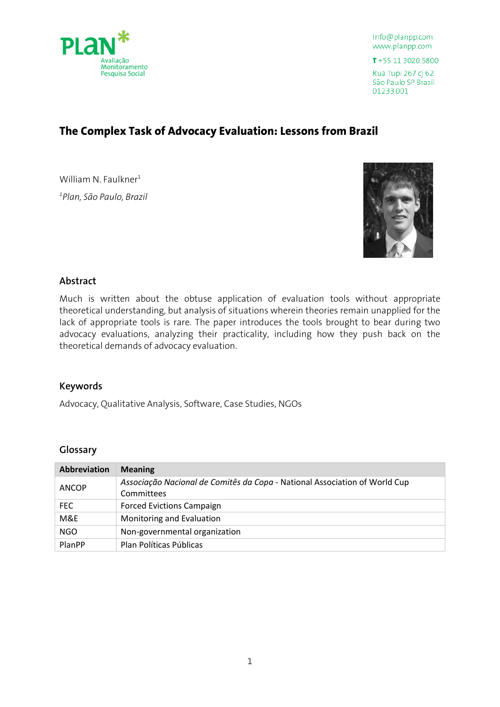

T+55 11 3020.5800 Rua Tupi 267 cj 62

São Paulo SP Brasil 01233.001

# **The Complex Task of Advocacy Evaluation: Lessons from Brazil**

William N. Faulkner $1$ *1 Plan, São Paulo, Brazil*



## **Abstract**

Much is written about the obtuse application of evaluation tools without appropriate theoretical understanding, but analysis of situations wherein theories remain unapplied for the lack of appropriate tools is rare. The paper introduces the tools brought to bear during two advocacy evaluations, analyzing their practicality, including how they push back on the theoretical demands of advocacy evaluation.

#### **Keywords**

Advocacy, Qualitative Analysis, Software, Case Studies, NGOs

#### **Glossary**

| Abbreviation | <b>Meaning</b>                                                             |
|--------------|----------------------------------------------------------------------------|
| <b>ANCOP</b> | Associação Nacional de Comitês da Copa - National Association of World Cup |
|              | Committees                                                                 |
| FEC.         | <b>Forced Evictions Campaign</b>                                           |
| M&E          | Monitoring and Evaluation                                                  |
| <b>NGO</b>   | Non-governmental organization                                              |
| PlanPP       | Plan Políticas Públicas                                                    |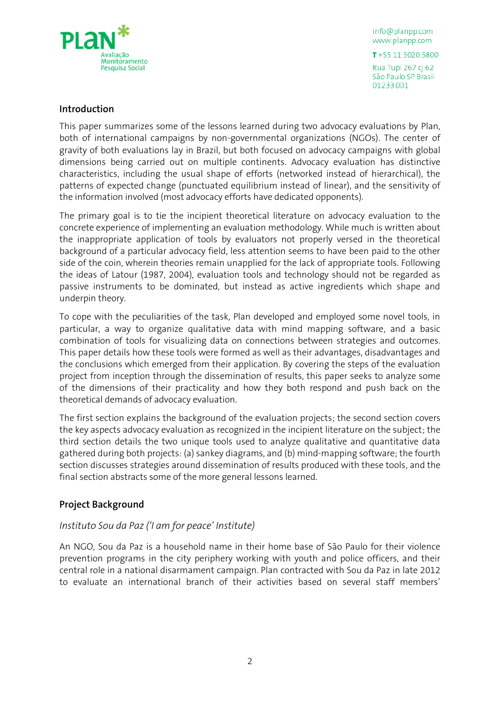

 $T + 551130205800$ 

Rua Tupi 267 cj 62 São Paulo SP Brasil 01233.001

## **Introduction**

This paper summarizes some of the lessons learned during two advocacy evaluations by Plan, both of international campaigns by non-governmental organizations (NGOs). The center of gravity of both evaluations lay in Brazil, but both focused on advocacy campaigns with global dimensions being carried out on multiple continents. Advocacy evaluation has distinctive characteristics, including the usual shape of efforts (networked instead of hierarchical), the patterns of expected change (punctuated equilibrium instead of linear), and the sensitivity of the information involved (most advocacy efforts have dedicated opponents).

The primary goal is to tie the incipient theoretical literature on advocacy evaluation to the concrete experience of implementing an evaluation methodology. While much is written about the inappropriate application of tools by evaluators not properly versed in the theoretical background of a particular advocacy field, less attention seems to have been paid to the other side of the coin, wherein theories remain unapplied for the lack of appropriate tools. Following the ideas of Latour (1987, 2004), evaluation tools and technology should not be regarded as passive instruments to be dominated, but instead as active ingredients which shape and underpin theory.

To cope with the peculiarities of the task, Plan developed and employed some novel tools, in particular, a way to organize qualitative data with mind mapping software, and a basic combination of tools for visualizing data on connections between strategies and outcomes. This paper details how these tools were formed as well as their advantages, disadvantages and the conclusions which emerged from their application. By covering the steps of the evaluation project from inception through the dissemination of results, this paper seeks to analyze some of the dimensions of their practicality and how they both respond and push back on the theoretical demands of advocacy evaluation.

The first section explains the background of the evaluation projects; the second section covers the key aspects advocacy evaluation as recognized in the incipient literature on the subject; the third section details the two unique tools used to analyze qualitative and quantitative data gathered during both projects: (a) sankey diagrams, and (b) mind-mapping software; the fourth section discusses strategies around dissemination of results produced with these tools, and the final section abstracts some of the more general lessons learned.

## **Project Background**

## *Instituto Sou da Paz ('I am for peace' Institute)*

An NGO, Sou da Paz is a household name in their home base of São Paulo for their violence prevention programs in the city periphery working with youth and police officers, and their central role in a national disarmament campaign. Plan contracted with Sou da Paz in late 2012 to evaluate an international branch of their activities based on several staff members'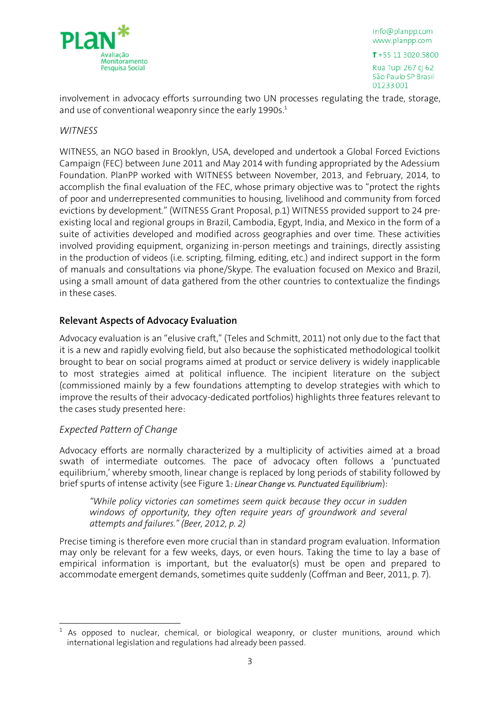

info@planpp.com www.planpp.com  $T + 55113020.5800$ 

Rua Tupi 267 cj 62 São Paulo SP Brasil 01233.001

involvement in advocacy efforts surrounding two UN processes regulating the trade, storage, and use of conventional weaponry since the early 1990s.<sup>1</sup>

## *WITNESS*

WITNESS, an NGO based in Brooklyn, USA, developed and undertook a Global Forced Evictions Campaign (FEC) between June 2011 and May 2014 with funding appropriated by the Adessium Foundation. PlanPP worked with WITNESS between November, 2013, and February, 2014, to accomplish the final evaluation of the FEC, whose primary objective was to "protect the rights of poor and underrepresented communities to housing, livelihood and community from forced evictions by development." (WITNESS Grant Proposal, p.1) WITNESS provided support to 24 preexisting local and regional groups in Brazil, Cambodia, Egypt, India, and Mexico in the form of a suite of activities developed and modified across geographies and over time. These activities involved providing equipment, organizing in-person meetings and trainings, directly assisting in the production of videos (i.e. scripting, filming, editing, etc.) and indirect support in the form of manuals and consultations via phone/Skype. The evaluation focused on Mexico and Brazil, using a small amount of data gathered from the other countries to contextualize the findings in these cases.

## **Relevant Aspects of Advocacy Evaluation**

Advocacy evaluation is an "elusive craft," (Teles and Schmitt, 2011) not only due to the fact that it is a new and rapidly evolving field, but also because the sophisticated methodological toolkit brought to bear on social programs aimed at product or service delivery is widely inapplicable to most strategies aimed at political influence. The incipient literature on the subject (commissioned mainly by a few foundations attempting to develop strategies with which to improve the results of their advocacy-dedicated portfolios) highlights three features relevant to the cases study presented here:

## *Expected Pattern of Change*

<u>.</u>

Advocacy efforts are normally characterized by a multiplicity of activities aimed at a broad swath of intermediate outcomes. The pace of advocacy often follows a 'punctuated equilibrium,' whereby smooth, linear change is replaced by long periods of stability followed by brief spurts of intense activity (see Figure 1*[: Linear Change vs. Punctuated Equilibrium](#page-3-0)*):

*"While policy victories can sometimes seem quick because they occur in sudden windows of opportunity, they often require years of groundwork and several attempts and failures." (Beer, 2012, p. 2)*

Precise timing is therefore even more crucial than in standard program evaluation. Information may only be relevant for a few weeks, days, or even hours. Taking the time to lay a base of empirical information is important, but the evaluator(s) must be open and prepared to accommodate emergent demands, sometimes quite suddenly (Coffman and Beer, 2011, p. 7).

<sup>1</sup> As opposed to nuclear, chemical, or biological weaponry, or cluster munitions, around which international legislation and regulations had already been passed.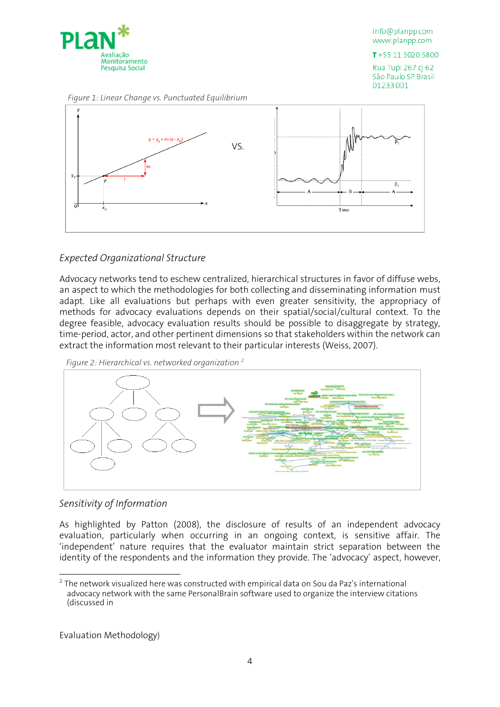

 $T + 551130205800$ 

Rua Tupi 267 cj 62 São Paulo SP Brasil 01233.001

<span id="page-3-0"></span>*Figure 1: Linear Change vs. Punctuated Equilibrium*



## *Expected Organizational Structure*

Advocacy networks tend to eschew centralized, hierarchical structures in favor of diffuse webs, an aspect to which the methodologies for both collecting and disseminating information must adapt. Like all evaluations but perhaps with even greater sensitivity, the appropriacy of methods for advocacy evaluations depends on their spatial/social/cultural context. To the degree feasible, advocacy evaluation results should be possible to disaggregate by strategy, time-period, actor, and other pertinent dimensions so that stakeholders within the network can extract the information most relevant to their particular interests (Weiss, 2007).

*Figure 2: Hierarchical vs. networked organization <sup>2</sup>*



## *Sensitivity of Information*

As highlighted by Patton (2008), the disclosure of results of an independent advocacy evaluation, particularly when occurring in an ongoing context, is sensitive affair. The 'independent' nature requires that the evaluator maintain strict separation between the identity of the respondents and the information they provide. The 'advocacy' aspect, however,

Evaluation [Methodology](#page-4-0))

<u>.</u>

 $2$  The network visualized here was constructed with empirical data on Sou da Paz's international advocacy network with the same PersonalBrain software used to organize the interview citations (discussed i[n](#page-4-0)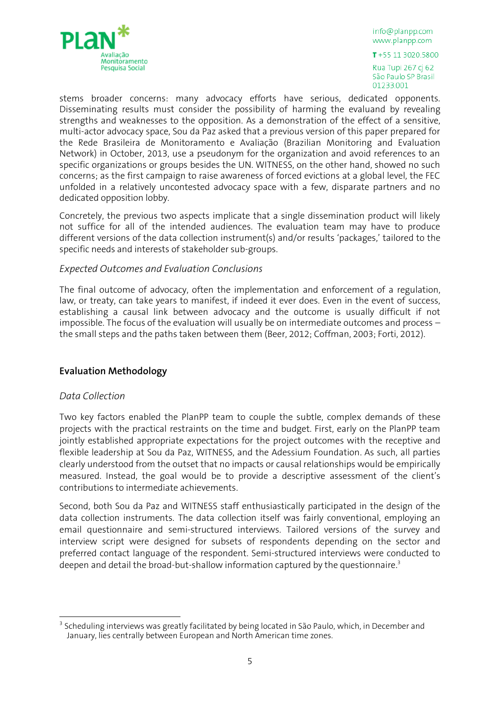

info@planpp.com www.planpp.com  $T + 55113020.5800$ 

<span id="page-4-0"></span>Rua Tupi 267 cj 62 São Paulo SP Brasil 01233.001

stems broader concerns: many advocacy efforts have serious, dedicated opponents. Disseminating results must consider the possibility of harming the evaluand by revealing strengths and weaknesses to the opposition. As a demonstration of the effect of a sensitive, multi-actor advocacy space, Sou da Paz asked that a previous version of this paper prepared for the Rede Brasileira de Monitoramento e Avaliação (Brazilian Monitoring and Evaluation Network) in October, 2013, use a pseudonym for the organization and avoid references to an specific organizations or groups besides the UN. WITNESS, on the other hand, showed no such concerns; as the first campaign to raise awareness of forced evictions at a global level, the FEC unfolded in a relatively uncontested advocacy space with a few, disparate partners and no dedicated opposition lobby.

Concretely, the previous two aspects implicate that a single dissemination product will likely not suffice for all of the intended audiences. The evaluation team may have to produce different versions of the data collection instrument(s) and/or results 'packages,' tailored to the specific needs and interests of stakeholder sub-groups.

### *Expected Outcomes and Evaluation Conclusions*

The final outcome of advocacy, often the implementation and enforcement of a regulation, law, or treaty, can take years to manifest, if indeed it ever does. Even in the event of success, establishing a causal link between advocacy and the outcome is usually difficult if not impossible. The focus of the evaluation will usually be on intermediate outcomes and process – the small steps and the paths taken between them (Beer, 2012; Coffman, 2003; Forti, 2012).

## **Evaluation Methodology**

## *Data Collection*

Two key factors enabled the PlanPP team to couple the subtle, complex demands of these projects with the practical restraints on the time and budget. First, early on the PlanPP team jointly established appropriate expectations for the project outcomes with the receptive and flexible leadership at Sou da Paz, WITNESS, and the Adessium Foundation. As such, all parties clearly understood from the outset that no impacts or causal relationships would be empirically measured. Instead, the goal would be to provide a descriptive assessment of the client's contributions to intermediate achievements.

Second, both Sou da Paz and WITNESS staff enthusiastically participated in the design of the data collection instruments. The data collection itself was fairly conventional, employing an email questionnaire and semi-structured interviews. Tailored versions of the survey and interview script were designed for subsets of respondents depending on the sector and preferred contact language of the respondent. Semi-structured interviews were conducted to deepen and detail the broad-but-shallow information captured by the questionnaire.<sup>3</sup>

<sup>-</sup><sup>3</sup> Scheduling interviews was greatly facilitated by being located in São Paulo, which, in December and January, lies centrally between European and North American time zones.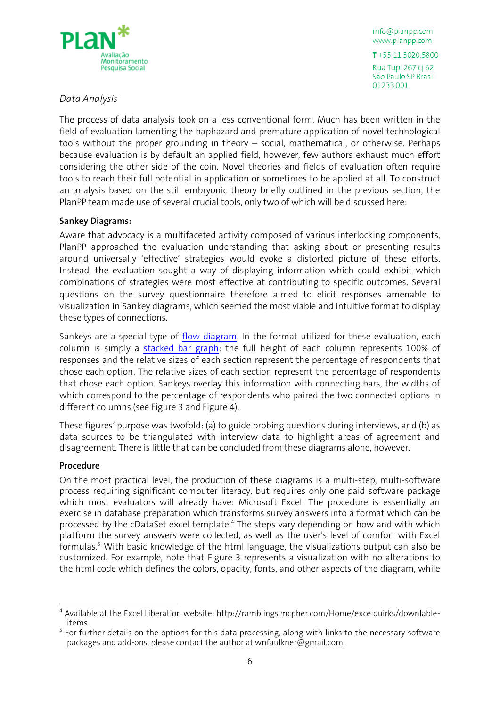

 $T + 55113020.5800$ 

Rua Tupi 267 cj 62 São Paulo SP Brasil 01233.001

## *Data Analysis*

The process of data analysis took on a less conventional form. Much has been written in the field of evaluation lamenting the haphazard and premature application of novel technological tools without the proper grounding in theory – social, mathematical, or otherwise. Perhaps because evaluation is by default an applied field, however, few authors exhaust much effort considering the other side of the coin. Novel theories and fields of evaluation often require tools to reach their full potential in application or sometimes to be applied at all. To construct an analysis based on the still embryonic theory briefly outlined in the previous section, the PlanPP team made use of several crucial tools, only two of which will be discussed here:

### **Sankey Diagrams:**

Aware that advocacy is a multifaceted activity composed of various interlocking components, PlanPP approached the evaluation understanding that asking about or presenting results around universally 'effective' strategies would evoke a distorted picture of these efforts. Instead, the evaluation sought a way of displaying information which could exhibit which combinations of strategies were most effective at contributing to specific outcomes. Several questions on the survey questionnaire therefore aimed to elicit responses amenable to visualization in Sankey diagrams, which seemed the most viable and intuitive format to display these types of connections.

Sankeys are a special type of [flow diagram.](http://en.wikipedia.org/wiki/Flow_diagram) In the format utilized for these evaluation, each column is simply a [stacked bar graph:](http://www.icoachmath.com/math_dictionary/Stacked_Bar_Graph.html) the full height of each column represents 100% of responses and the relative sizes of each section represent the percentage of respondents that chose each option. The relative sizes of each section represent the percentage of respondents that chose each option. Sankeys overlay this information with connecting bars, the widths of which correspond to the percentage of respondents who paired the two connected options in different columns (see [Figure 3](#page-6-0) and [Figure 4\)](#page-6-1).

These figures' purpose was twofold: (a) to guide probing questions during interviews, and (b) as data sources to be triangulated with interview data to highlight areas of agreement and disagreement. There is little that can be concluded from these diagrams alone, however.

#### **Procedure**

<u>.</u>

On the most practical level, the production of these diagrams is a multi-step, multi-software process requiring significant computer literacy, but requires only one paid software package which most evaluators will already have: Microsoft Excel. The procedure is essentially an exercise in database preparation which transforms survey answers into a format which can be processed by the cDataSet excel template.<sup>4</sup> The steps vary depending on how and with which platform the survey answers were collected, as well as the user's level of comfort with Excel formulas.<sup>5</sup> With basic knowledge of the html language, the visualizations output can also be customized. For example, note that [Figure 3](#page-6-0) represents a visualization with no alterations to the html code which defines the colors, opacity, fonts, and other aspects of the diagram, while

<sup>&</sup>lt;sup>4</sup> Available at the Excel Liberation website: http://ramblings.mcpher.com/Home/excelquirks/downlableitems

<sup>&</sup>lt;sup>5</sup> For further details on the options for this data processing, along with links to the necessary software packages and add-ons, please contact the author at wnfaulkner@gmail.com.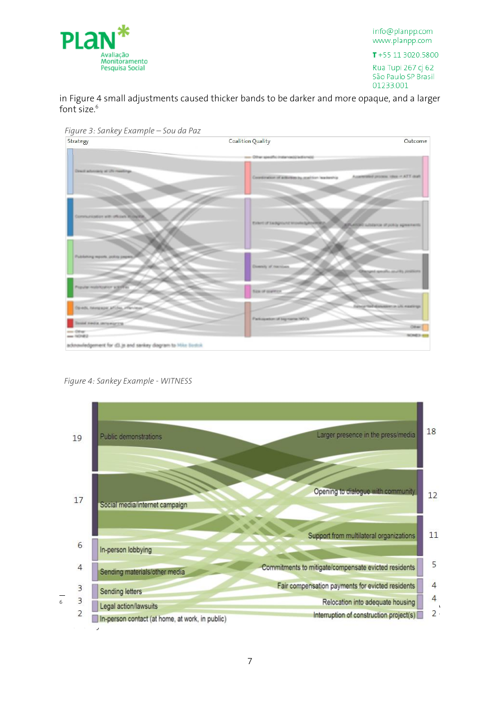

T+55 11 3020.5800

Rua Tupi 267 cj 62 São Paulo SP Brasil 01233.001

in [Figure 4](#page-6-1) small adjustments caused thicker bands to be darker and more opaque, and a larger font size.<sup>6</sup>

<span id="page-6-0"></span>



<span id="page-6-1"></span>*Figure 4: Sankey Example - WITNESS*

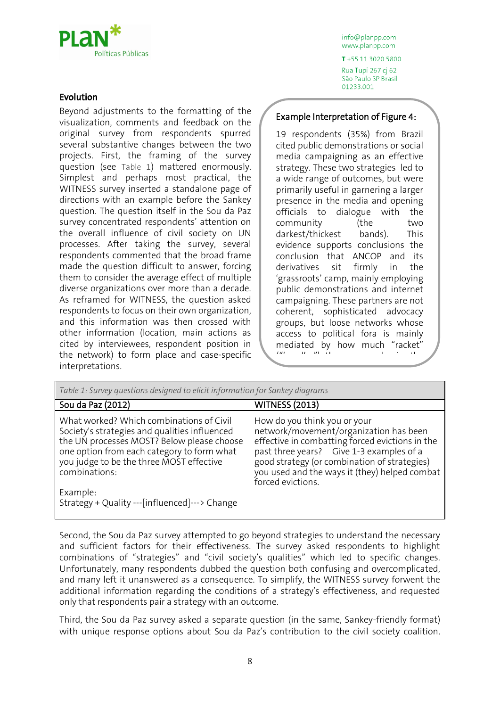

### Evolution

Beyond adjustments to the formatting of the visualization, comments and feedback on the original survey from respondents spurred several substantive changes between the two projects. First, the framing of the survey question (see [Table 1](#page-7-0)) mattered enormously. Simplest and perhaps most practical, the WITNESS survey inserted a standalone page of directions with an example before the Sankey question. The question itself in the Sou da Paz survey concentrated respondents' attention on the overall influence of civil society on UN processes. After taking the survey, several respondents commented that the broad frame made the question difficult to answer, forcing them to consider the average effect of multiple diverse organizations over more than a decade. As reframed for WITNESS, the question asked respondents to focus on their own organization, and this information was then crossed with other information (location, main actions as cited by interviewees, respondent position in the network) to form place and case-specific interpretations.

info@planpp.com www.planpp.com

T+55 11 3020.5800 Rua Tupi 267 cj 62 São Paulo SP Brasil 01233.001

### Example Interpretation of Figure 4:

19 respondents (35%) from Brazil cited public demonstrations or social media campaigning as an effective strategy. These two strategies led to a wide range of outcomes, but were primarily useful in garnering a larger presence in the media and opening officials to dialogue with the community (the two darkest/thickest bands). This evidence supports conclusions the conclusion that ANCOP and its derivatives sit firmly in the 'grassroots' camp, mainly employing public demonstrations and internet campaigning. These partners are not coherent, sophisticated advocacy groups, but loose networks whose access to political fora is mainly mediated by how much "racket" (*barulho in make in the in the in the in the in the in the in the in the in the in the in the in the in the in the in the in the in the in the in the in the in the in the in the in the in the in the in the in the in the i* 

street and online.

<span id="page-7-0"></span>

| Table 1: Survey questions designed to elicit information for Sankey diagrams                                                                                                                                                                                   |                                                                                                                                                                                                                                                                                             |  |  |
|----------------------------------------------------------------------------------------------------------------------------------------------------------------------------------------------------------------------------------------------------------------|---------------------------------------------------------------------------------------------------------------------------------------------------------------------------------------------------------------------------------------------------------------------------------------------|--|--|
| Sou da Paz (2012)                                                                                                                                                                                                                                              | <b>WITNESS (2013)</b>                                                                                                                                                                                                                                                                       |  |  |
| What worked? Which combinations of Civil<br>Society's strategies and qualities influenced<br>the UN processes MOST? Below please choose<br>one option from each category to form what<br>you judge to be the three MOST effective<br>combinations:<br>Example: | How do you think you or your<br>network/movement/organization has been<br>effective in combatting forced evictions in the<br>past three years? Give 1-3 examples of a<br>good strategy (or combination of strategies)<br>you used and the ways it (they) helped combat<br>forced evictions. |  |  |
| Strategy + Quality ---[influenced]---> Change                                                                                                                                                                                                                  |                                                                                                                                                                                                                                                                                             |  |  |

Second, the Sou da Paz survey attempted to go beyond strategies to understand the necessary and sufficient factors for their effectiveness. The survey asked respondents to highlight combinations of "strategies" and "civil society's qualities" which led to specific changes. Unfortunately, many respondents dubbed the question both confusing and overcomplicated, and many left it unanswered as a consequence. To simplify, the WITNESS survey forwent the additional information regarding the conditions of a strategy's effectiveness, and requested only that respondents pair a strategy with an outcome.

Third, the Sou da Paz survey asked a separate question (in the same, Sankey-friendly format) with unique response options about Sou da Paz's contribution to the civil society coalition.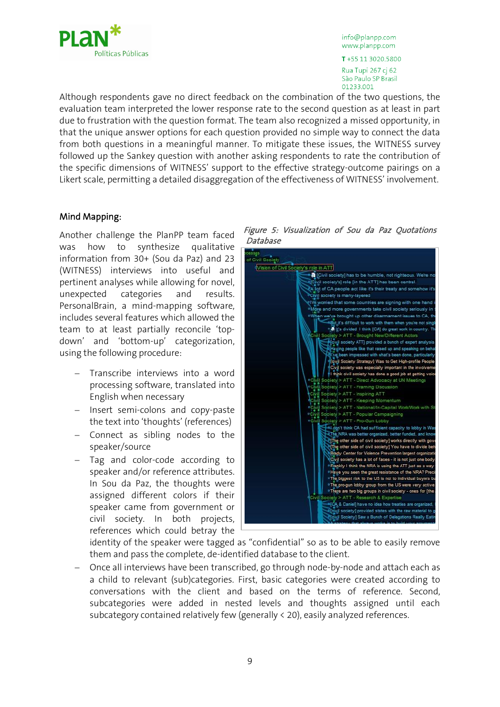

T+55 11 3020.5800 Rua Tupi 267 cj 62 São Paulo SP Brasil 01233,001

Although respondents gave no direct feedback on the combination of the two questions, the evaluation team interpreted the lower response rate to the second question as at least in part due to frustration with the question format. The team also recognized a missed opportunity, in that the unique answer options for each question provided no simple way to connect the data from both questions in a meaningful manner. To mitigate these issues, the WITNESS survey followed up the Sankey question with another asking respondents to rate the contribution of the specific dimensions of WITNESS' support to the effective strategy-outcome pairings on a Likert scale, permitting a detailed disaggregation of the effectiveness of WITNESS' involvement.

#### Mind Mapping:

Another challenge the PlanPP team faced was how to synthesize qualitative information from 30+ (Sou da Paz) and 23 (WITNESS) interviews into useful and pertinent analyses while allowing for novel, unexpected categories and results. PersonalBrain, a mind-mapping software, includes several features which allowed the team to at least partially reconcile 'topdown' and 'bottom-up' categorization, using the following procedure:

- Transcribe interviews into a word processing software, translated into English when necessary
- Insert semi-colons and copy-paste the text into 'thoughts' (references)
- $-$  Connect as sibling nodes to the speaker/source
- Tag and color-code according to speaker and/or reference attributes. In Sou da Paz, the thoughts were assigned different colors if their speaker came from government or civil society. In both projects, references which could betray the





identity of the speaker were tagged as "confidential" so as to be able to easily remove them and pass the complete, de-identified database to the client.

 Once all interviews have been transcribed, go through node-by-node and attach each as a child to relevant (sub)categories. First, basic categories were created according to conversations with the client and based on the terms of reference. Second, subcategories were added in nested levels and thoughts assigned until each subcategory contained relatively few (generally < 20), easily analyzed references.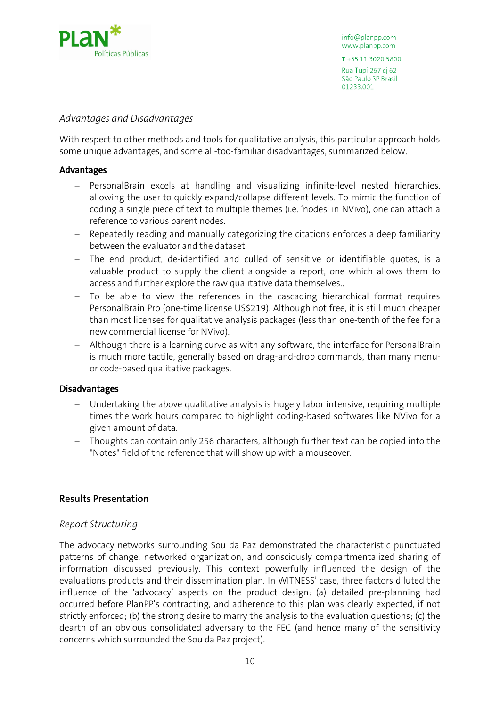

T+55 11 3020.5800

Rua Tupi 267 cj 62 São Paulo SP Brasil 01233.001

## *Advantages and Disadvantages*

With respect to other methods and tools for qualitative analysis, this particular approach holds some unique advantages, and some all-too-familiar disadvantages, summarized below.

### Advantages

- PersonalBrain excels at handling and visualizing infinite-level nested hierarchies, allowing the user to quickly expand/collapse different levels. To mimic the function of coding a single piece of text to multiple themes (i.e. 'nodes' in NVivo), one can attach a reference to various parent nodes.
- Repeatedly reading and manually categorizing the citations enforces a deep familiarity between the evaluator and the dataset.
- The end product, de-identified and culled of sensitive or identifiable quotes, is a valuable product to supply the client alongside a report, one which allows them to access and further explore the raw qualitative data themselves..
- To be able to view the references in the cascading hierarchical format requires PersonalBrain Pro (one-time license US\$219). Although not free, it is still much cheaper than most licenses for qualitative analysis packages (less than one-tenth of the fee for a new commercial license for NVivo).
- Although there is a learning curve as with any software, the interface for PersonalBrain is much more tactile, generally based on drag-and-drop commands, than many menuor code-based qualitative packages.

#### Disadvantages

- Undertaking the above qualitative analysis is hugely labor intensive, requiring multiple times the work hours compared to highlight coding-based softwares like NVivo for a given amount of data.
- Thoughts can contain only 256 characters, although further text can be copied into the "Notes" field of the reference that will show up with a mouseover.

## **Results Presentation**

## *Report Structuring*

The advocacy networks surrounding Sou da Paz demonstrated the characteristic punctuated patterns of change, networked organization, and consciously compartmentalized sharing of information discussed previously. This context powerfully influenced the design of the evaluations products and their dissemination plan. In WITNESS' case, three factors diluted the influence of the 'advocacy' aspects on the product design: (a) detailed pre-planning had occurred before PlanPP's contracting, and adherence to this plan was clearly expected, if not strictly enforced; (b) the strong desire to marry the analysis to the evaluation questions; (c) the dearth of an obvious consolidated adversary to the FEC (and hence many of the sensitivity concerns which surrounded the Sou da Paz project).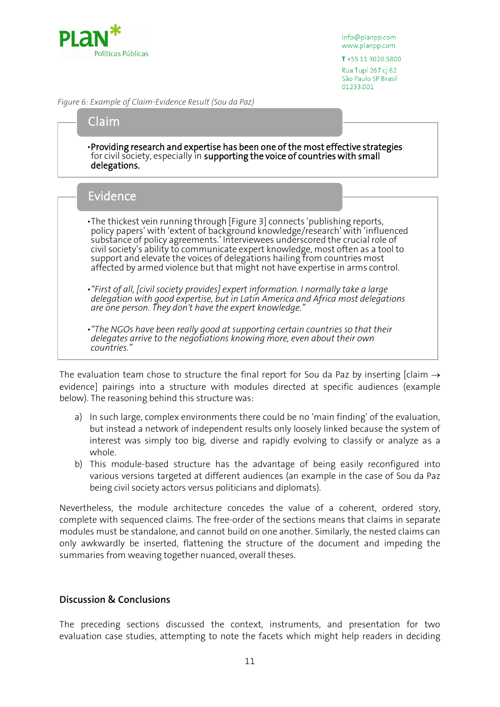

T+55 11 3020.5800

Rua Tupi 267 cj 62 São Paulo SP Brasil 01233.001

*Figure 6: Example of Claim-Evidence Result (Sou da Paz)*

## Claim

•Providing research and expertise has been one of the most effective strategies for civil society, especially in supporting the voice of countries with small delegations.

# Evidence

- •The thickest vein running through [Figure 3] connects 'publishing reports, policy papers' with 'extent of background knowledge/research' with 'influenced substance of policy agreements.' Interviewees underscored the crucial role of civil society's ability to communicate expert knowledge, most often as a tool to support and elevate the voices of delegations hailing from countries most affected by armed violence but that might not have expertise in arms control.
- *•"First of all, [civil society provides] expert information. I normally take a large delegation with good expertise, but in Latin America and Africa most delegations are one person. They don't have the expert knowledge."*
- *•"The NGOs have been really good at supporting certain countries so that their delegates arrive to the negotiations knowing more, even about their own countries."*

The evaluation team chose to structure the final report for Sou da Paz by inserting [claim  $\rightarrow$ evidence] pairings into a structure with modules directed at specific audiences (example below). The reasoning behind this structure was:

- a) In such large, complex environments there could be no 'main finding' of the evaluation, but instead a network of independent results only loosely linked because the system of interest was simply too big, diverse and rapidly evolving to classify or analyze as a whole.
- b) This module-based structure has the advantage of being easily reconfigured into various versions targeted at different audiences (an example in the case of Sou da Paz being civil society actors versus politicians and diplomats).

Nevertheless, the module architecture concedes the value of a coherent, ordered story, complete with sequenced claims. The free-order of the sections means that claims in separate modules must be standalone, and cannot build on one another. Similarly, the nested claims can only awkwardly be inserted, flattening the structure of the document and impeding the summaries from weaving together nuanced, overall theses.

## **Discussion & Conclusions**

The preceding sections discussed the context, instruments, and presentation for two evaluation case studies, attempting to note the facets which might help readers in deciding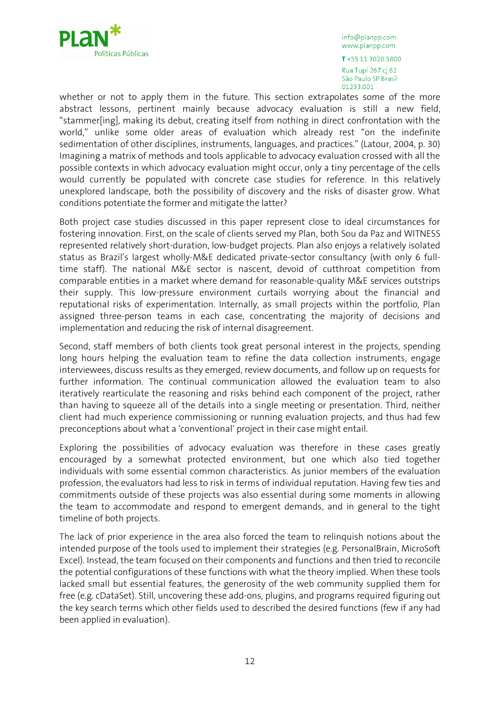

T+55 11 3020.5800 Rua Tupi 267 cj 62 São Paulo SP Brasil 01233.001

whether or not to apply them in the future. This section extrapolates some of the more abstract lessons, pertinent mainly because advocacy evaluation is still a new field, "stammer[ing], making its debut, creating itself from nothing in direct confrontation with the world," unlike some older areas of evaluation which already rest "on the indefinite sedimentation of other disciplines, instruments, languages, and practices." (Latour, 2004, p. 30) Imagining a matrix of methods and tools applicable to advocacy evaluation crossed with all the possible contexts in which advocacy evaluation might occur, only a tiny percentage of the cells would currently be populated with concrete case studies for reference. In this relatively unexplored landscape, both the possibility of discovery and the risks of disaster grow. What conditions potentiate the former and mitigate the latter?

Both project case studies discussed in this paper represent close to ideal circumstances for fostering innovation. First, on the scale of clients served my Plan, both Sou da Paz and WITNESS represented relatively short-duration, low-budget projects. Plan also enjoys a relatively isolated status as Brazil's largest wholly-M&E dedicated private-sector consultancy (with only 6 fulltime staff). The national M&E sector is nascent, devoid of cutthroat competition from comparable entities in a market where demand for reasonable-quality M&E services outstrips their supply. This low-pressure environment curtails worrying about the financial and reputational risks of experimentation. Internally, as small projects within the portfolio, Plan assigned three-person teams in each case, concentrating the majority of decisions and implementation and reducing the risk of internal disagreement.

Second, staff members of both clients took great personal interest in the projects, spending long hours helping the evaluation team to refine the data collection instruments, engage interviewees, discuss results as they emerged, review documents, and follow up on requests for further information. The continual communication allowed the evaluation team to also iteratively rearticulate the reasoning and risks behind each component of the project, rather than having to squeeze all of the details into a single meeting or presentation. Third, neither client had much experience commissioning or running evaluation projects, and thus had few preconceptions about what a 'conventional' project in their case might entail.

Exploring the possibilities of advocacy evaluation was therefore in these cases greatly encouraged by a somewhat protected environment, but one which also tied together individuals with some essential common characteristics. As junior members of the evaluation profession, the evaluators had less to risk in terms of individual reputation. Having few ties and commitments outside of these projects was also essential during some moments in allowing the team to accommodate and respond to emergent demands, and in general to the tight timeline of both projects.

The lack of prior experience in the area also forced the team to relinquish notions about the intended purpose of the tools used to implement their strategies (e.g. PersonalBrain, MicroSoft Excel). Instead, the team focused on their components and functions and then tried to reconcile the potential configurations of these functions with what the theory implied. When these tools lacked small but essential features, the generosity of the web community supplied them for free (e.g. cDataSet). Still, uncovering these add-ons, plugins, and programs required figuring out the key search terms which other fields used to described the desired functions (few if any had been applied in evaluation).